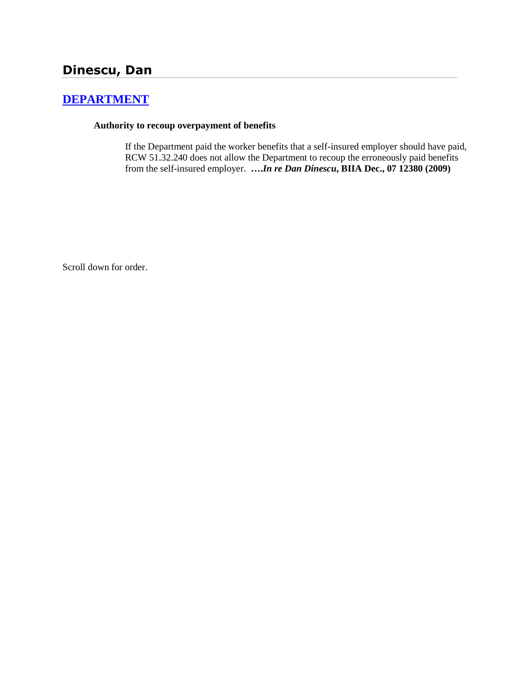# **[DEPARTMENT](http://www.biia.wa.gov/SDSubjectIndex.html#DEPARTMENT)**

### **Authority to recoup overpayment of benefits**

If the Department paid the worker benefits that a self-insured employer should have paid, RCW 51.32.240 does not allow the Department to recoup the erroneously paid benefits from the self-insured employer. **….***In re Dan Dinescu***, BIIA Dec., 07 12380 (2009)**

Scroll down for order.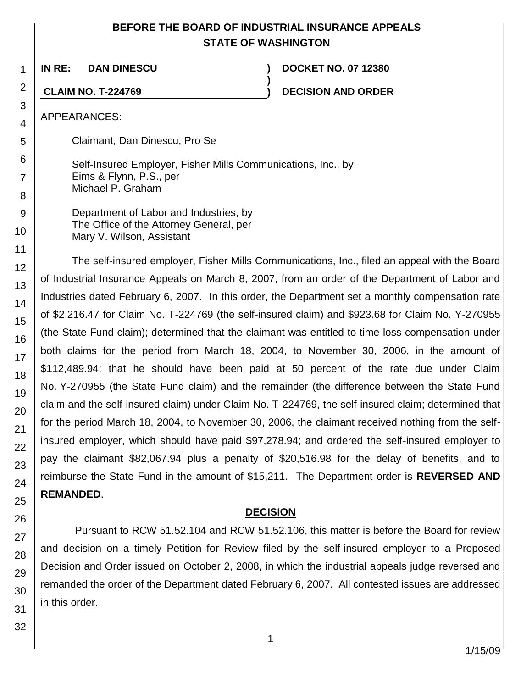# **BEFORE THE BOARD OF INDUSTRIAL INSURANCE APPEALS STATE OF WASHINGTON**

**)**

**IN RE: DAN DINESCU ) DOCKET NO. 07 12380**

**CLAIM NO. T-224769 ) DECISION AND ORDER**

APPEARANCES:

Claimant, Dan Dinescu, Pro Se

Self-Insured Employer, Fisher Mills Communications, Inc., by Eims & Flynn, P.S., per Michael P. Graham

Department of Labor and Industries, by The Office of the Attorney General, per Mary V. Wilson, Assistant

The self-insured employer, Fisher Mills Communications, Inc., filed an appeal with the Board of Industrial Insurance Appeals on March 8, 2007, from an order of the Department of Labor and Industries dated February 6, 2007. In this order, the Department set a monthly compensation rate of \$2,216.47 for Claim No. T-224769 (the self-insured claim) and \$923.68 for Claim No. Y-270955 (the State Fund claim); determined that the claimant was entitled to time loss compensation under both claims for the period from March 18, 2004, to November 30, 2006, in the amount of \$112,489.94; that he should have been paid at 50 percent of the rate due under Claim No. Y-270955 (the State Fund claim) and the remainder (the difference between the State Fund claim and the self-insured claim) under Claim No. T-224769, the self-insured claim; determined that for the period March 18, 2004, to November 30, 2006, the claimant received nothing from the selfinsured employer, which should have paid \$97,278.94; and ordered the self-insured employer to pay the claimant \$82,067.94 plus a penalty of \$20,516.98 for the delay of benefits, and to reimburse the State Fund in the amount of \$15,211. The Department order is **REVERSED AND REMANDED**.

## **DECISION**

Pursuant to RCW 51.52.104 and RCW 51.52.106, this matter is before the Board for review and decision on a timely Petition for Review filed by the self-insured employer to a Proposed Decision and Order issued on October 2, 2008, in which the industrial appeals judge reversed and remanded the order of the Department dated February 6, 2007. All contested issues are addressed in this order.

1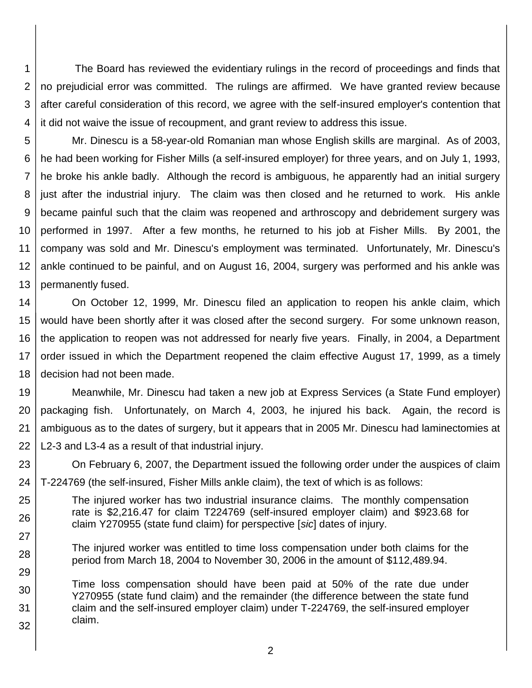1 2 3 4 The Board has reviewed the evidentiary rulings in the record of proceedings and finds that no prejudicial error was committed. The rulings are affirmed. We have granted review because after careful consideration of this record, we agree with the self-insured employer's contention that it did not waive the issue of recoupment, and grant review to address this issue.

5 6 7 8 9 10 11 12 13 Mr. Dinescu is a 58-year-old Romanian man whose English skills are marginal. As of 2003, he had been working for Fisher Mills (a self-insured employer) for three years, and on July 1, 1993, he broke his ankle badly. Although the record is ambiguous, he apparently had an initial surgery just after the industrial injury. The claim was then closed and he returned to work. His ankle became painful such that the claim was reopened and arthroscopy and debridement surgery was performed in 1997. After a few months, he returned to his job at Fisher Mills. By 2001, the company was sold and Mr. Dinescu's employment was terminated. Unfortunately, Mr. Dinescu's ankle continued to be painful, and on August 16, 2004, surgery was performed and his ankle was permanently fused.

14 15 16 17 18 On October 12, 1999, Mr. Dinescu filed an application to reopen his ankle claim, which would have been shortly after it was closed after the second surgery. For some unknown reason, the application to reopen was not addressed for nearly five years. Finally, in 2004, a Department order issued in which the Department reopened the claim effective August 17, 1999, as a timely decision had not been made.

19 20 21 22 Meanwhile, Mr. Dinescu had taken a new job at Express Services (a State Fund employer) packaging fish. Unfortunately, on March 4, 2003, he injured his back. Again, the record is ambiguous as to the dates of surgery, but it appears that in 2005 Mr. Dinescu had laminectomies at L2-3 and L3-4 as a result of that industrial injury.

23 On February 6, 2007, the Department issued the following order under the auspices of claim

24 T-224769 (the self-insured, Fisher Mills ankle claim), the text of which is as follows:

29

- 25 26 27 The injured worker has two industrial insurance claims. The monthly compensation rate is \$2,216.47 for claim T224769 (self-insured employer claim) and \$923.68 for claim Y270955 (state fund claim) for perspective [*sic*] dates of injury.
- 28 The injured worker was entitled to time loss compensation under both claims for the period from March 18, 2004 to November 30, 2006 in the amount of \$112,489.94.
- 30 31 32 Time loss compensation should have been paid at 50% of the rate due under Y270955 (state fund claim) and the remainder (the difference between the state fund claim and the self-insured employer claim) under T-224769, the self-insured employer claim.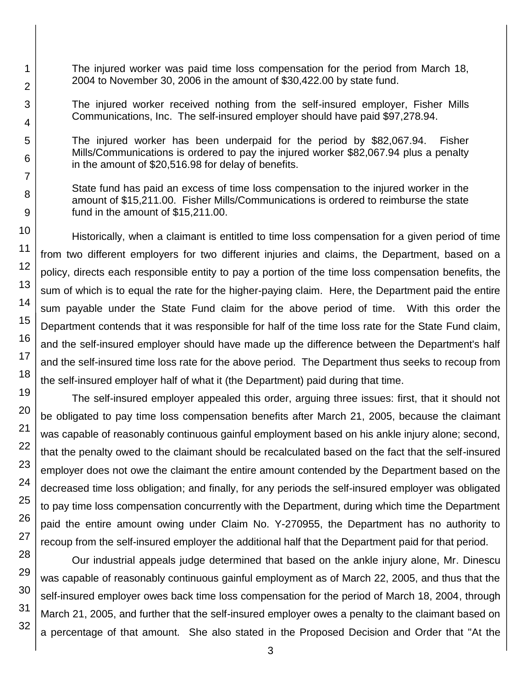The injured worker was paid time loss compensation for the period from March 18, 2004 to November 30, 2006 in the amount of \$30,422.00 by state fund.

The injured worker received nothing from the self-insured employer, Fisher Mills Communications, Inc. The self-insured employer should have paid \$97,278.94.

The injured worker has been underpaid for the period by \$82,067.94. Fisher Mills/Communications is ordered to pay the injured worker \$82,067.94 plus a penalty in the amount of \$20,516.98 for delay of benefits.

State fund has paid an excess of time loss compensation to the injured worker in the amount of \$15,211.00. Fisher Mills/Communications is ordered to reimburse the state fund in the amount of \$15,211.00.

Historically, when a claimant is entitled to time loss compensation for a given period of time from two different employers for two different injuries and claims, the Department, based on a policy, directs each responsible entity to pay a portion of the time loss compensation benefits, the sum of which is to equal the rate for the higher-paying claim. Here, the Department paid the entire sum payable under the State Fund claim for the above period of time. With this order the Department contends that it was responsible for half of the time loss rate for the State Fund claim, and the self-insured employer should have made up the difference between the Department's half and the self-insured time loss rate for the above period. The Department thus seeks to recoup from the self-insured employer half of what it (the Department) paid during that time.

The self-insured employer appealed this order, arguing three issues: first, that it should not be obligated to pay time loss compensation benefits after March 21, 2005, because the claimant was capable of reasonably continuous gainful employment based on his ankle injury alone; second, that the penalty owed to the claimant should be recalculated based on the fact that the self-insured employer does not owe the claimant the entire amount contended by the Department based on the decreased time loss obligation; and finally, for any periods the self-insured employer was obligated to pay time loss compensation concurrently with the Department, during which time the Department paid the entire amount owing under Claim No. Y-270955, the Department has no authority to recoup from the self-insured employer the additional half that the Department paid for that period.

Our industrial appeals judge determined that based on the ankle injury alone, Mr. Dinescu was capable of reasonably continuous gainful employment as of March 22, 2005, and thus that the self-insured employer owes back time loss compensation for the period of March 18, 2004, through March 21, 2005, and further that the self-insured employer owes a penalty to the claimant based on a percentage of that amount. She also stated in the Proposed Decision and Order that "At the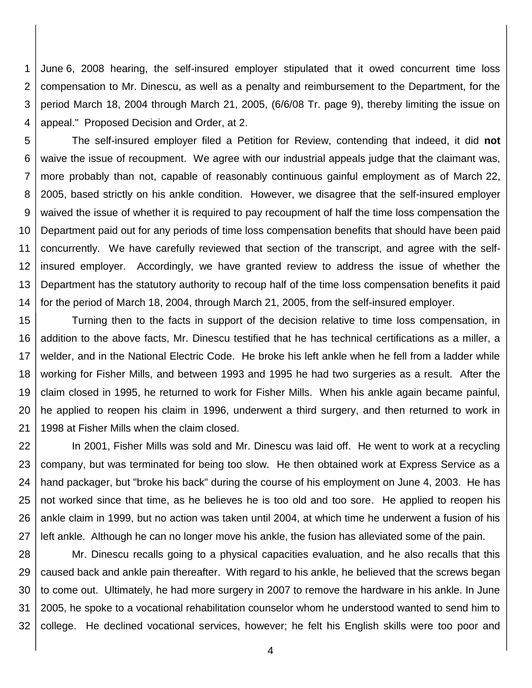1 2 3 4 June 6, 2008 hearing, the self-insured employer stipulated that it owed concurrent time loss compensation to Mr. Dinescu, as well as a penalty and reimbursement to the Department, for the period March 18, 2004 through March 21, 2005, (6/6/08 Tr. page 9), thereby limiting the issue on appeal." Proposed Decision and Order, at 2.

5 6 7 8 9 10 11 12 13 14 The self-insured employer filed a Petition for Review, contending that indeed, it did **not** waive the issue of recoupment. We agree with our industrial appeals judge that the claimant was, more probably than not, capable of reasonably continuous gainful employment as of March 22, 2005, based strictly on his ankle condition. However, we disagree that the self-insured employer waived the issue of whether it is required to pay recoupment of half the time loss compensation the Department paid out for any periods of time loss compensation benefits that should have been paid concurrently. We have carefully reviewed that section of the transcript, and agree with the selfinsured employer. Accordingly, we have granted review to address the issue of whether the Department has the statutory authority to recoup half of the time loss compensation benefits it paid for the period of March 18, 2004, through March 21, 2005, from the self-insured employer.

15 16 17 18 19 20 21 Turning then to the facts in support of the decision relative to time loss compensation, in addition to the above facts, Mr. Dinescu testified that he has technical certifications as a miller, a welder, and in the National Electric Code. He broke his left ankle when he fell from a ladder while working for Fisher Mills, and between 1993 and 1995 he had two surgeries as a result. After the claim closed in 1995, he returned to work for Fisher Mills. When his ankle again became painful, he applied to reopen his claim in 1996, underwent a third surgery, and then returned to work in 1998 at Fisher Mills when the claim closed.

22 23 24 25 26 27 In 2001, Fisher Mills was sold and Mr. Dinescu was laid off. He went to work at a recycling company, but was terminated for being too slow. He then obtained work at Express Service as a hand packager, but "broke his back" during the course of his employment on June 4, 2003. He has not worked since that time, as he believes he is too old and too sore. He applied to reopen his ankle claim in 1999, but no action was taken until 2004, at which time he underwent a fusion of his left ankle. Although he can no longer move his ankle, the fusion has alleviated some of the pain.

28 29 30 31 32 Mr. Dinescu recalls going to a physical capacities evaluation, and he also recalls that this caused back and ankle pain thereafter. With regard to his ankle, he believed that the screws began to come out. Ultimately, he had more surgery in 2007 to remove the hardware in his ankle. In June 2005, he spoke to a vocational rehabilitation counselor whom he understood wanted to send him to college. He declined vocational services, however; he felt his English skills were too poor and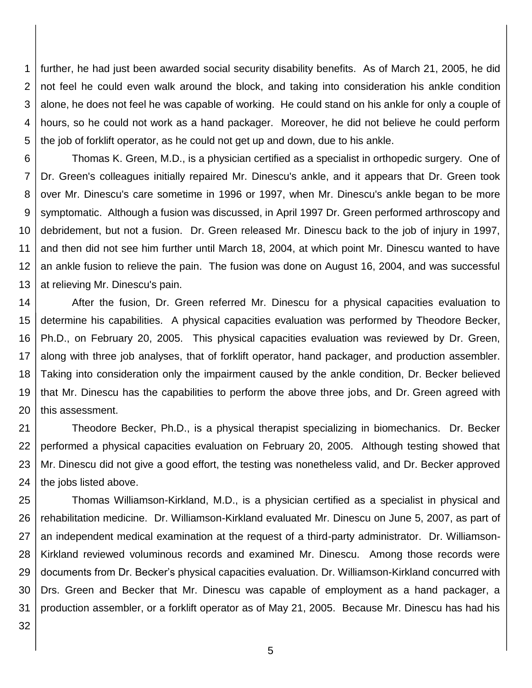1 2 3 4 5 further, he had just been awarded social security disability benefits. As of March 21, 2005, he did not feel he could even walk around the block, and taking into consideration his ankle condition alone, he does not feel he was capable of working. He could stand on his ankle for only a couple of hours, so he could not work as a hand packager. Moreover, he did not believe he could perform the job of forklift operator, as he could not get up and down, due to his ankle.

6 7 8 9 10 11 12 13 Thomas K. Green, M.D., is a physician certified as a specialist in orthopedic surgery. One of Dr. Green's colleagues initially repaired Mr. Dinescu's ankle, and it appears that Dr. Green took over Mr. Dinescu's care sometime in 1996 or 1997, when Mr. Dinescu's ankle began to be more symptomatic. Although a fusion was discussed, in April 1997 Dr. Green performed arthroscopy and debridement, but not a fusion. Dr. Green released Mr. Dinescu back to the job of injury in 1997, and then did not see him further until March 18, 2004, at which point Mr. Dinescu wanted to have an ankle fusion to relieve the pain. The fusion was done on August 16, 2004, and was successful at relieving Mr. Dinescu's pain.

14 15 16 17 18 19 20 After the fusion, Dr. Green referred Mr. Dinescu for a physical capacities evaluation to determine his capabilities. A physical capacities evaluation was performed by Theodore Becker, Ph.D., on February 20, 2005. This physical capacities evaluation was reviewed by Dr. Green, along with three job analyses, that of forklift operator, hand packager, and production assembler. Taking into consideration only the impairment caused by the ankle condition, Dr. Becker believed that Mr. Dinescu has the capabilities to perform the above three jobs, and Dr. Green agreed with this assessment.

21 22 23 24 Theodore Becker, Ph.D., is a physical therapist specializing in biomechanics. Dr. Becker performed a physical capacities evaluation on February 20, 2005. Although testing showed that Mr. Dinescu did not give a good effort, the testing was nonetheless valid, and Dr. Becker approved the jobs listed above.

25 26 27 28 29 30 31 Thomas Williamson-Kirkland, M.D., is a physician certified as a specialist in physical and rehabilitation medicine. Dr. Williamson-Kirkland evaluated Mr. Dinescu on June 5, 2007, as part of an independent medical examination at the request of a third-party administrator. Dr. Williamson-Kirkland reviewed voluminous records and examined Mr. Dinescu. Among those records were documents from Dr. Becker's physical capacities evaluation. Dr. Williamson-Kirkland concurred with Drs. Green and Becker that Mr. Dinescu was capable of employment as a hand packager, a production assembler, or a forklift operator as of May 21, 2005. Because Mr. Dinescu has had his

32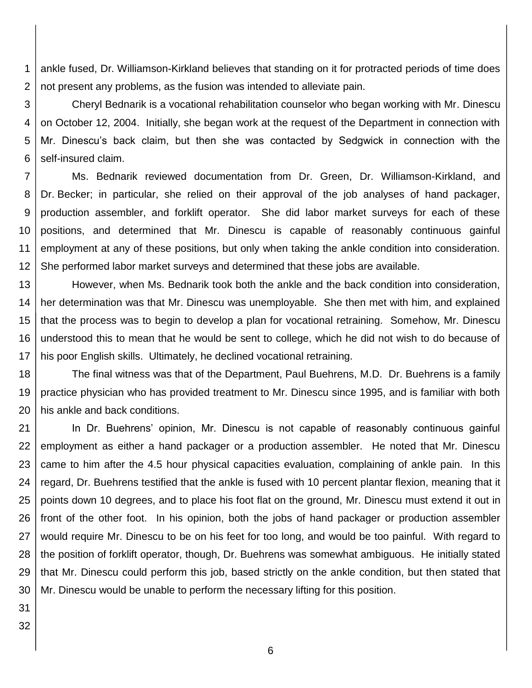1 2 ankle fused, Dr. Williamson-Kirkland believes that standing on it for protracted periods of time does not present any problems, as the fusion was intended to alleviate pain.

3 4 5 6 Cheryl Bednarik is a vocational rehabilitation counselor who began working with Mr. Dinescu on October 12, 2004. Initially, she began work at the request of the Department in connection with Mr. Dinescu's back claim, but then she was contacted by Sedgwick in connection with the self-insured claim.

7 8 9 10 11 12 Ms. Bednarik reviewed documentation from Dr. Green, Dr. Williamson-Kirkland, and Dr. Becker; in particular, she relied on their approval of the job analyses of hand packager, production assembler, and forklift operator. She did labor market surveys for each of these positions, and determined that Mr. Dinescu is capable of reasonably continuous gainful employment at any of these positions, but only when taking the ankle condition into consideration. She performed labor market surveys and determined that these jobs are available.

13 14 15 16 17 However, when Ms. Bednarik took both the ankle and the back condition into consideration, her determination was that Mr. Dinescu was unemployable. She then met with him, and explained that the process was to begin to develop a plan for vocational retraining. Somehow, Mr. Dinescu understood this to mean that he would be sent to college, which he did not wish to do because of his poor English skills. Ultimately, he declined vocational retraining.

18 19 20 The final witness was that of the Department, Paul Buehrens, M.D. Dr. Buehrens is a family practice physician who has provided treatment to Mr. Dinescu since 1995, and is familiar with both his ankle and back conditions.

21 22 23 24 25 26 27 28 29 30 In Dr. Buehrens' opinion, Mr. Dinescu is not capable of reasonably continuous gainful employment as either a hand packager or a production assembler. He noted that Mr. Dinescu came to him after the 4.5 hour physical capacities evaluation, complaining of ankle pain. In this regard, Dr. Buehrens testified that the ankle is fused with 10 percent plantar flexion, meaning that it points down 10 degrees, and to place his foot flat on the ground, Mr. Dinescu must extend it out in front of the other foot. In his opinion, both the jobs of hand packager or production assembler would require Mr. Dinescu to be on his feet for too long, and would be too painful. With regard to the position of forklift operator, though, Dr. Buehrens was somewhat ambiguous. He initially stated that Mr. Dinescu could perform this job, based strictly on the ankle condition, but then stated that Mr. Dinescu would be unable to perform the necessary lifting for this position.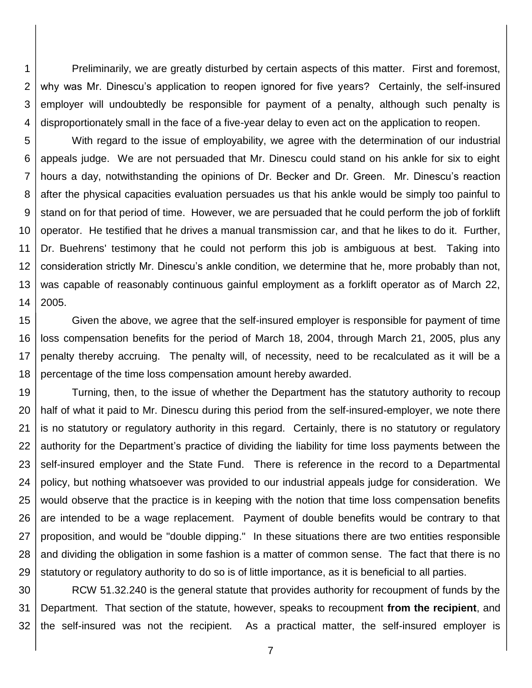1 2 3 4 Preliminarily, we are greatly disturbed by certain aspects of this matter. First and foremost, why was Mr. Dinescu's application to reopen ignored for five years? Certainly, the self-insured employer will undoubtedly be responsible for payment of a penalty, although such penalty is disproportionately small in the face of a five-year delay to even act on the application to reopen.

5 6 7 8 9 10 11 12 13 14 With regard to the issue of employability, we agree with the determination of our industrial appeals judge. We are not persuaded that Mr. Dinescu could stand on his ankle for six to eight hours a day, notwithstanding the opinions of Dr. Becker and Dr. Green. Mr. Dinescu's reaction after the physical capacities evaluation persuades us that his ankle would be simply too painful to stand on for that period of time. However, we are persuaded that he could perform the job of forklift operator. He testified that he drives a manual transmission car, and that he likes to do it. Further, Dr. Buehrens' testimony that he could not perform this job is ambiguous at best. Taking into consideration strictly Mr. Dinescu's ankle condition, we determine that he, more probably than not, was capable of reasonably continuous gainful employment as a forklift operator as of March 22, 2005.

15 16 17 18 Given the above, we agree that the self-insured employer is responsible for payment of time loss compensation benefits for the period of March 18, 2004, through March 21, 2005, plus any penalty thereby accruing. The penalty will, of necessity, need to be recalculated as it will be a percentage of the time loss compensation amount hereby awarded.

19 20 21 22 23 24 25 26 27 28 29 Turning, then, to the issue of whether the Department has the statutory authority to recoup half of what it paid to Mr. Dinescu during this period from the self-insured-employer, we note there is no statutory or regulatory authority in this regard. Certainly, there is no statutory or regulatory authority for the Department's practice of dividing the liability for time loss payments between the self-insured employer and the State Fund. There is reference in the record to a Departmental policy, but nothing whatsoever was provided to our industrial appeals judge for consideration. We would observe that the practice is in keeping with the notion that time loss compensation benefits are intended to be a wage replacement. Payment of double benefits would be contrary to that proposition, and would be "double dipping." In these situations there are two entities responsible and dividing the obligation in some fashion is a matter of common sense. The fact that there is no statutory or regulatory authority to do so is of little importance, as it is beneficial to all parties.

30 31 32 RCW 51.32.240 is the general statute that provides authority for recoupment of funds by the Department. That section of the statute, however, speaks to recoupment **from the recipient**, and the self-insured was not the recipient. As a practical matter, the self-insured employer is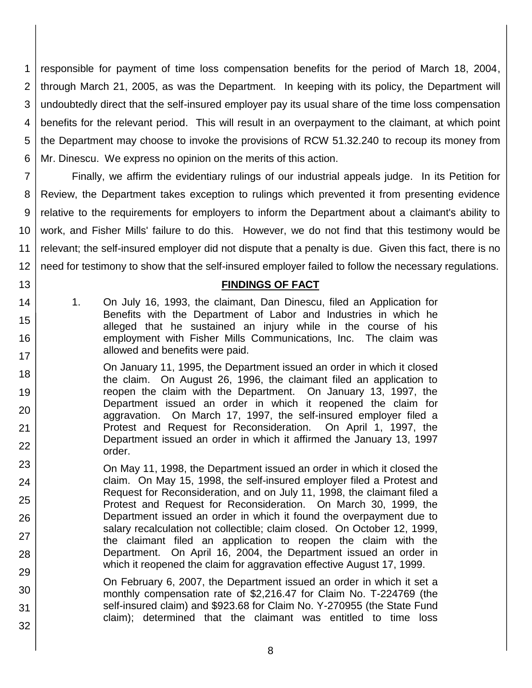1 2 3 4 5 6 responsible for payment of time loss compensation benefits for the period of March 18, 2004, through March 21, 2005, as was the Department. In keeping with its policy, the Department will undoubtedly direct that the self-insured employer pay its usual share of the time loss compensation benefits for the relevant period. This will result in an overpayment to the claimant, at which point the Department may choose to invoke the provisions of RCW 51.32.240 to recoup its money from Mr. Dinescu. We express no opinion on the merits of this action.

7 8 9 10 11 12 Finally, we affirm the evidentiary rulings of our industrial appeals judge. In its Petition for Review, the Department takes exception to rulings which prevented it from presenting evidence relative to the requirements for employers to inform the Department about a claimant's ability to work, and Fisher Mills' failure to do this. However, we do not find that this testimony would be relevant; the self-insured employer did not dispute that a penalty is due. Given this fact, there is no need for testimony to show that the self-insured employer failed to follow the necessary regulations.

### **FINDINGS OF FACT**

1. On July 16, 1993, the claimant, Dan Dinescu, filed an Application for Benefits with the Department of Labor and Industries in which he alleged that he sustained an injury while in the course of his employment with Fisher Mills Communications, Inc. The claim was allowed and benefits were paid.

13

14

15

16

- 18 19 20 21 22 On January 11, 1995, the Department issued an order in which it closed the claim. On August 26, 1996, the claimant filed an application to reopen the claim with the Department. On January 13, 1997, the Department issued an order in which it reopened the claim for aggravation. On March 17, 1997, the self-insured employer filed a Protest and Request for Reconsideration. On April 1, 1997, the Department issued an order in which it affirmed the January 13, 1997 order.
- 23 24 25 26 27 28 On May 11, 1998, the Department issued an order in which it closed the claim. On May 15, 1998, the self-insured employer filed a Protest and Request for Reconsideration, and on July 11, 1998, the claimant filed a Protest and Request for Reconsideration. On March 30, 1999, the Department issued an order in which it found the overpayment due to salary recalculation not collectible; claim closed. On October 12, 1999, the claimant filed an application to reopen the claim with the Department. On April 16, 2004, the Department issued an order in which it reopened the claim for aggravation effective August 17, 1999.
- 29 30 31 32 On February 6, 2007, the Department issued an order in which it set a monthly compensation rate of \$2,216.47 for Claim No. T-224769 (the self-insured claim) and \$923.68 for Claim No. Y-270955 (the State Fund claim); determined that the claimant was entitled to time loss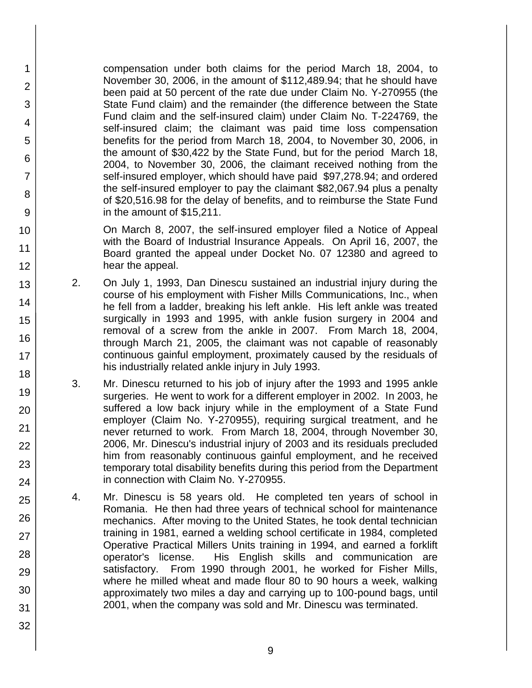compensation under both claims for the period March 18, 2004, to November 30, 2006, in the amount of \$112,489.94; that he should have been paid at 50 percent of the rate due under Claim No. Y-270955 (the State Fund claim) and the remainder (the difference between the State Fund claim and the self-insured claim) under Claim No. T-224769, the self-insured claim; the claimant was paid time loss compensation benefits for the period from March 18, 2004, to November 30, 2006, in the amount of \$30,422 by the State Fund, but for the period March 18, 2004, to November 30, 2006, the claimant received nothing from the self-insured employer, which should have paid \$97,278.94; and ordered the self-insured employer to pay the claimant \$82,067.94 plus a penalty of \$20,516.98 for the delay of benefits, and to reimburse the State Fund in the amount of \$15,211.

1

2

3

4

5

6

7

8

9

10

11

12

13

14

15

16

17

18

19

20

21

22

23

24

25

26

27

28

29

30

31

32

On March 8, 2007, the self-insured employer filed a Notice of Appeal with the Board of Industrial Insurance Appeals. On April 16, 2007, the Board granted the appeal under Docket No. 07 12380 and agreed to hear the appeal.

- 2. On July 1, 1993, Dan Dinescu sustained an industrial injury during the course of his employment with Fisher Mills Communications, Inc., when he fell from a ladder, breaking his left ankle. His left ankle was treated surgically in 1993 and 1995, with ankle fusion surgery in 2004 and removal of a screw from the ankle in 2007. From March 18, 2004, through March 21, 2005, the claimant was not capable of reasonably continuous gainful employment, proximately caused by the residuals of his industrially related ankle injury in July 1993.
- 3. Mr. Dinescu returned to his job of injury after the 1993 and 1995 ankle surgeries. He went to work for a different employer in 2002. In 2003, he suffered a low back injury while in the employment of a State Fund employer (Claim No. Y-270955), requiring surgical treatment, and he never returned to work. From March 18, 2004, through November 30, 2006, Mr. Dinescu's industrial injury of 2003 and its residuals precluded him from reasonably continuous gainful employment, and he received temporary total disability benefits during this period from the Department in connection with Claim No. Y-270955.
- 4. Mr. Dinescu is 58 years old. He completed ten years of school in Romania. He then had three years of technical school for maintenance mechanics. After moving to the United States, he took dental technician training in 1981, earned a welding school certificate in 1984, completed Operative Practical Millers Units training in 1994, and earned a forklift operator's license. His English skills and communication are satisfactory. From 1990 through 2001, he worked for Fisher Mills, where he milled wheat and made flour 80 to 90 hours a week, walking approximately two miles a day and carrying up to 100-pound bags, until 2001, when the company was sold and Mr. Dinescu was terminated.
	- 9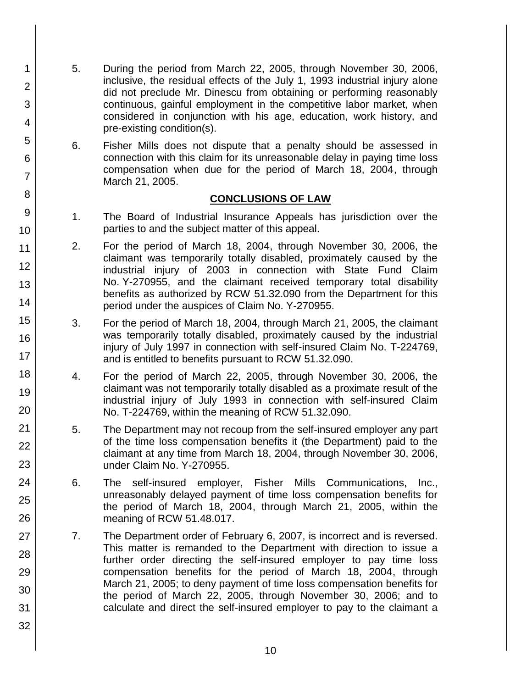- 5. During the period from March 22, 2005, through November 30, 2006, inclusive, the residual effects of the July 1, 1993 industrial injury alone did not preclude Mr. Dinescu from obtaining or performing reasonably continuous, gainful employment in the competitive labor market, when considered in conjunction with his age, education, work history, and pre-existing condition(s).
	- 6. Fisher Mills does not dispute that a penalty should be assessed in connection with this claim for its unreasonable delay in paying time loss compensation when due for the period of March 18, 2004, through March 21, 2005.

### **CONCLUSIONS OF LAW**

- 1. The Board of Industrial Insurance Appeals has jurisdiction over the parties to and the subject matter of this appeal.
- 2. For the period of March 18, 2004, through November 30, 2006, the claimant was temporarily totally disabled, proximately caused by the industrial injury of 2003 in connection with State Fund Claim No. Y-270955, and the claimant received temporary total disability benefits as authorized by RCW 51.32.090 from the Department for this period under the auspices of Claim No. Y-270955.
- 3. For the period of March 18, 2004, through March 21, 2005, the claimant was temporarily totally disabled, proximately caused by the industrial injury of July 1997 in connection with self-insured Claim No. T-224769, and is entitled to benefits pursuant to RCW 51.32.090.
- 4. For the period of March 22, 2005, through November 30, 2006, the claimant was not temporarily totally disabled as a proximate result of the industrial injury of July 1993 in connection with self-insured Claim No. T-224769, within the meaning of RCW 51.32.090.
- 5. The Department may not recoup from the self-insured employer any part of the time loss compensation benefits it (the Department) paid to the claimant at any time from March 18, 2004, through November 30, 2006, under Claim No. Y-270955.
- 6. The self-insured employer, Fisher Mills Communications, Inc., unreasonably delayed payment of time loss compensation benefits for the period of March 18, 2004, through March 21, 2005, within the meaning of RCW 51.48.017.
- 7. The Department order of February 6, 2007, is incorrect and is reversed. This matter is remanded to the Department with direction to issue a further order directing the self-insured employer to pay time loss compensation benefits for the period of March 18, 2004, through March 21, 2005; to deny payment of time loss compensation benefits for the period of March 22, 2005, through November 30, 2006; and to calculate and direct the self-insured employer to pay to the claimant a